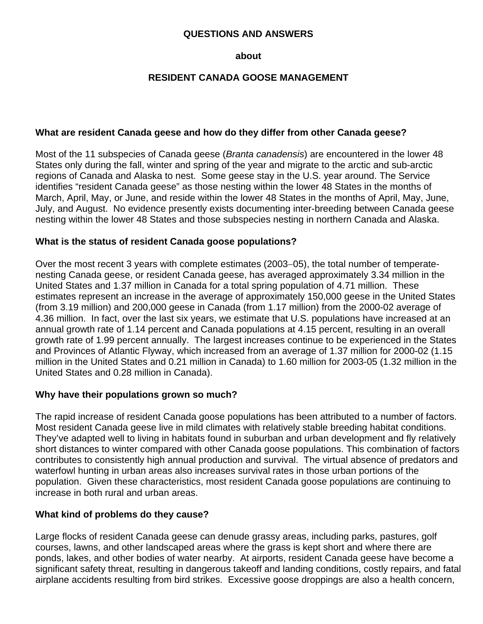#### **QUESTIONS AND ANSWERS**

#### **about**

### **RESIDENT CANADA GOOSE MANAGEMENT**

#### **What are resident Canada geese and how do they differ from other Canada geese?**

Most of the 11 subspecies of Canada geese (*Branta canadensis*) are encountered in the lower 48 States only during the fall, winter and spring of the year and migrate to the arctic and sub-arctic regions of Canada and Alaska to nest. Some geese stay in the U.S. year around. The Service identifies "resident Canada geese" as those nesting within the lower 48 States in the months of March, April, May, or June, and reside within the lower 48 States in the months of April, May, June, July, and August. No evidence presently exists documenting inter-breeding between Canada geese nesting within the lower 48 States and those subspecies nesting in northern Canada and Alaska.

#### **What is the status of resident Canada goose populations?**

Over the most recent 3 years with complete estimates (2003−05), the total number of temperatenesting Canada geese, or resident Canada geese, has averaged approximately 3.34 million in the United States and 1.37 million in Canada for a total spring population of 4.71 million. These estimates represent an increase in the average of approximately 150,000 geese in the United States (from 3.19 million) and 200,000 geese in Canada (from 1.17 million) from the 2000-02 average of 4.36 million. In fact, over the last six years, we estimate that U.S. populations have increased at an annual growth rate of 1.14 percent and Canada populations at 4.15 percent, resulting in an overall growth rate of 1.99 percent annually. The largest increases continue to be experienced in the States and Provinces of Atlantic Flyway, which increased from an average of 1.37 million for 2000-02 (1.15 million in the United States and 0.21 million in Canada) to 1.60 million for 2003-05 (1.32 million in the United States and 0.28 million in Canada).

#### **Why have their populations grown so much?**

The rapid increase of resident Canada goose populations has been attributed to a number of factors. Most resident Canada geese live in mild climates with relatively stable breeding habitat conditions. They've adapted well to living in habitats found in suburban and urban development and fly relatively short distances to winter compared with other Canada goose populations. This combination of factors contributes to consistently high annual production and survival. The virtual absence of predators and waterfowl hunting in urban areas also increases survival rates in those urban portions of the population. Given these characteristics, most resident Canada goose populations are continuing to increase in both rural and urban areas.

#### **What kind of problems do they cause?**

Large flocks of resident Canada geese can denude grassy areas, including parks, pastures, golf courses, lawns, and other landscaped areas where the grass is kept short and where there are ponds, lakes, and other bodies of water nearby. At airports, resident Canada geese have become a significant safety threat, resulting in dangerous takeoff and landing conditions, costly repairs, and fatal airplane accidents resulting from bird strikes. Excessive goose droppings are also a health concern,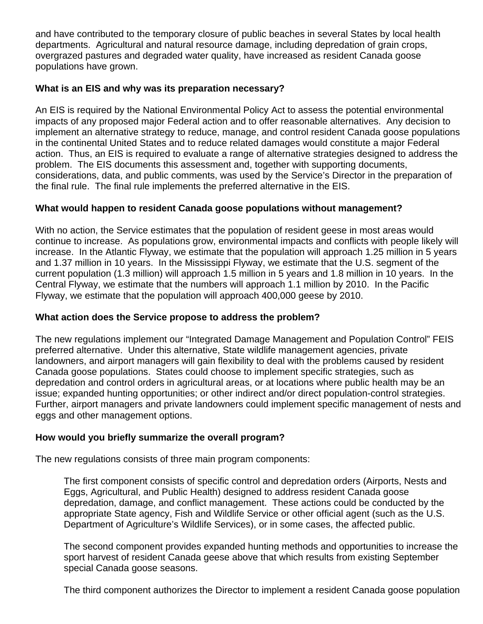and have contributed to the temporary closure of public beaches in several States by local health departments. Agricultural and natural resource damage, including depredation of grain crops, overgrazed pastures and degraded water quality, have increased as resident Canada goose populations have grown.

# **What is an EIS and why was its preparation necessary?**

An EIS is required by the National Environmental Policy Act to assess the potential environmental impacts of any proposed major Federal action and to offer reasonable alternatives. Any decision to implement an alternative strategy to reduce, manage, and control resident Canada goose populations in the continental United States and to reduce related damages would constitute a major Federal action. Thus, an EIS is required to evaluate a range of alternative strategies designed to address the problem. The EIS documents this assessment and, together with supporting documents, considerations, data, and public comments, was used by the Service's Director in the preparation of the final rule. The final rule implements the preferred alternative in the EIS.

# **What would happen to resident Canada goose populations without management?**

With no action, the Service estimates that the population of resident geese in most areas would continue to increase. As populations grow, environmental impacts and conflicts with people likely will increase. In the Atlantic Flyway, we estimate that the population will approach 1.25 million in 5 years and 1.37 million in 10 years. In the Mississippi Flyway, we estimate that the U.S. segment of the current population (1.3 million) will approach 1.5 million in 5 years and 1.8 million in 10 years. In the Central Flyway, we estimate that the numbers will approach 1.1 million by 2010. In the Pacific Flyway, we estimate that the population will approach 400,000 geese by 2010.

# **What action does the Service propose to address the problem?**

The new regulations implement our "Integrated Damage Management and Population Control" FEIS preferred alternative. Under this alternative, State wildlife management agencies, private landowners, and airport managers will gain flexibility to deal with the problems caused by resident Canada goose populations. States could choose to implement specific strategies, such as depredation and control orders in agricultural areas, or at locations where public health may be an issue; expanded hunting opportunities; or other indirect and/or direct population-control strategies. Further, airport managers and private landowners could implement specific management of nests and eggs and other management options.

# **How would you briefly summarize the overall program?**

The new regulations consists of three main program components:

The first component consists of specific control and depredation orders (Airports, Nests and Eggs, Agricultural, and Public Health) designed to address resident Canada goose depredation, damage, and conflict management. These actions could be conducted by the appropriate State agency, Fish and Wildlife Service or other official agent (such as the U.S. Department of Agriculture's Wildlife Services), or in some cases, the affected public.

The second component provides expanded hunting methods and opportunities to increase the sport harvest of resident Canada geese above that which results from existing September special Canada goose seasons.

The third component authorizes the Director to implement a resident Canada goose population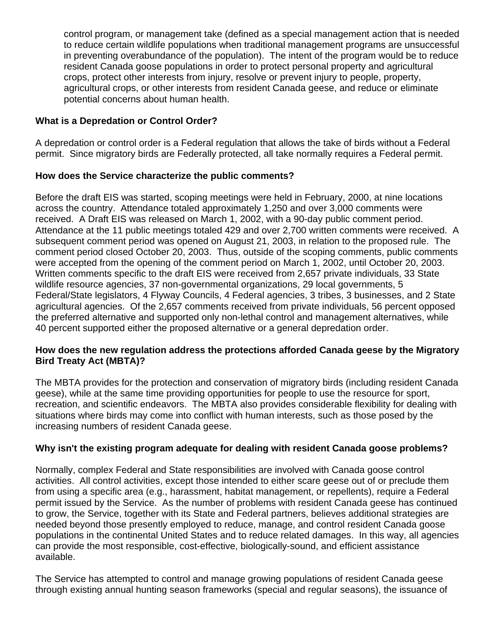control program, or management take (defined as a special management action that is needed to reduce certain wildlife populations when traditional management programs are unsuccessful in preventing overabundance of the population). The intent of the program would be to reduce resident Canada goose populations in order to protect personal property and agricultural crops, protect other interests from injury, resolve or prevent injury to people, property, agricultural crops, or other interests from resident Canada geese, and reduce or eliminate potential concerns about human health.

# **What is a Depredation or Control Order?**

A depredation or control order is a Federal regulation that allows the take of birds without a Federal permit. Since migratory birds are Federally protected, all take normally requires a Federal permit.

### **How does the Service characterize the public comments?**

Before the draft EIS was started, scoping meetings were held in February, 2000, at nine locations across the country. Attendance totaled approximately 1,250 and over 3,000 comments were received. A Draft EIS was released on March 1, 2002, with a 90-day public comment period. Attendance at the 11 public meetings totaled 429 and over 2,700 written comments were received. A subsequent comment period was opened on August 21, 2003, in relation to the proposed rule. The comment period closed October 20, 2003. Thus, outside of the scoping comments, public comments were accepted from the opening of the comment period on March 1, 2002, until October 20, 2003. Written comments specific to the draft EIS were received from 2,657 private individuals, 33 State wildlife resource agencies, 37 non-governmental organizations, 29 local governments, 5 Federal/State legislators, 4 Flyway Councils, 4 Federal agencies, 3 tribes, 3 businesses, and 2 State agricultural agencies. Of the 2,657 comments received from private individuals, 56 percent opposed the preferred alternative and supported only non-lethal control and management alternatives, while 40 percent supported either the proposed alternative or a general depredation order.

### **How does the new regulation address the protections afforded Canada geese by the Migratory Bird Treaty Act (MBTA)?**

The MBTA provides for the protection and conservation of migratory birds (including resident Canada geese), while at the same time providing opportunities for people to use the resource for sport, recreation, and scientific endeavors. The MBTA also provides considerable flexibility for dealing with situations where birds may come into conflict with human interests, such as those posed by the increasing numbers of resident Canada geese.

# **Why isn't the existing program adequate for dealing with resident Canada goose problems?**

Normally, complex Federal and State responsibilities are involved with Canada goose control activities. All control activities, except those intended to either scare geese out of or preclude them from using a specific area (e.g., harassment, habitat management, or repellents), require a Federal permit issued by the Service. As the number of problems with resident Canada geese has continued to grow, the Service, together with its State and Federal partners, believes additional strategies are needed beyond those presently employed to reduce, manage, and control resident Canada goose populations in the continental United States and to reduce related damages. In this way, all agencies can provide the most responsible, cost-effective, biologically-sound, and efficient assistance available.

The Service has attempted to control and manage growing populations of resident Canada geese through existing annual hunting season frameworks (special and regular seasons), the issuance of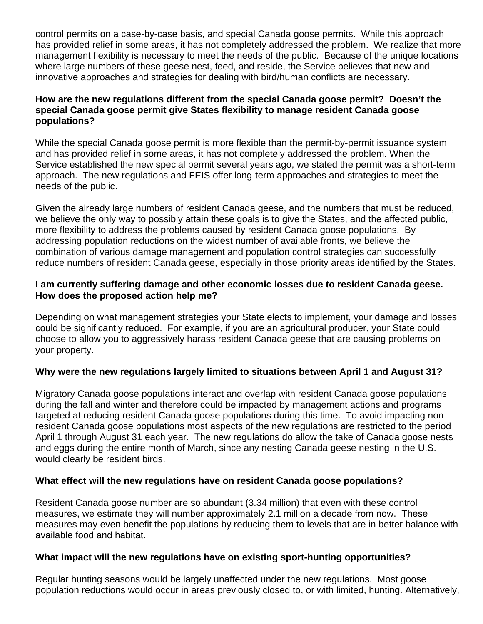control permits on a case-by-case basis, and special Canada goose permits. While this approach has provided relief in some areas, it has not completely addressed the problem. We realize that more management flexibility is necessary to meet the needs of the public. Because of the unique locations where large numbers of these geese nest, feed, and reside, the Service believes that new and innovative approaches and strategies for dealing with bird/human conflicts are necessary.

#### **How are the new regulations different from the special Canada goose permit? Doesn't the special Canada goose permit give States flexibility to manage resident Canada goose populations?**

While the special Canada goose permit is more flexible than the permit-by-permit issuance system and has provided relief in some areas, it has not completely addressed the problem. When the Service established the new special permit several years ago, we stated the permit was a short-term approach. The new regulations and FEIS offer long-term approaches and strategies to meet the needs of the public.

Given the already large numbers of resident Canada geese, and the numbers that must be reduced, we believe the only way to possibly attain these goals is to give the States, and the affected public, more flexibility to address the problems caused by resident Canada goose populations. By addressing population reductions on the widest number of available fronts, we believe the combination of various damage management and population control strategies can successfully reduce numbers of resident Canada geese, especially in those priority areas identified by the States.

### **I am currently suffering damage and other economic losses due to resident Canada geese. How does the proposed action help me?**

Depending on what management strategies your State elects to implement, your damage and losses could be significantly reduced. For example, if you are an agricultural producer, your State could choose to allow you to aggressively harass resident Canada geese that are causing problems on your property.

# **Why were the new regulations largely limited to situations between April 1 and August 31?**

Migratory Canada goose populations interact and overlap with resident Canada goose populations during the fall and winter and therefore could be impacted by management actions and programs targeted at reducing resident Canada goose populations during this time. To avoid impacting nonresident Canada goose populations most aspects of the new regulations are restricted to the period April 1 through August 31 each year. The new regulations do allow the take of Canada goose nests and eggs during the entire month of March, since any nesting Canada geese nesting in the U.S. would clearly be resident birds.

# **What effect will the new regulations have on resident Canada goose populations?**

Resident Canada goose number are so abundant (3.34 million) that even with these control measures, we estimate they will number approximately 2.1 million a decade from now. These measures may even benefit the populations by reducing them to levels that are in better balance with available food and habitat.

#### **What impact will the new regulations have on existing sport-hunting opportunities?**

Regular hunting seasons would be largely unaffected under the new regulations. Most goose population reductions would occur in areas previously closed to, or with limited, hunting. Alternatively,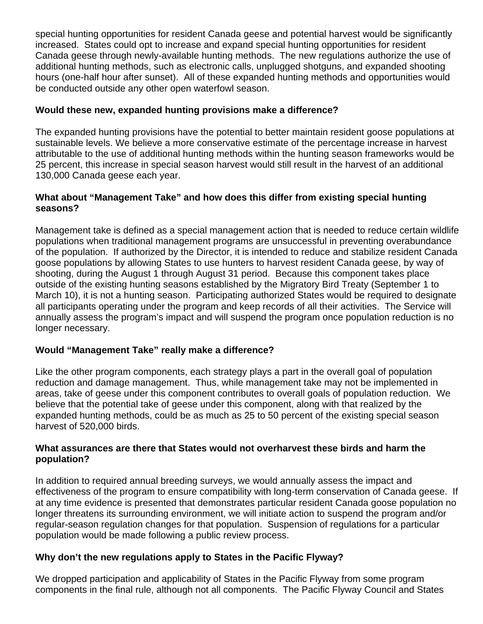special hunting opportunities for resident Canada geese and potential harvest would be significantly increased. States could opt to increase and expand special hunting opportunities for resident Canada geese through newly-available hunting methods. The new regulations authorize the use of additional hunting methods, such as electronic calls, unplugged shotguns, and expanded shooting hours (one-half hour after sunset). All of these expanded hunting methods and opportunities would be conducted outside any other open waterfowl season.

# **Would these new, expanded hunting provisions make a difference?**

The expanded hunting provisions have the potential to better maintain resident goose populations at sustainable levels. We believe a more conservative estimate of the percentage increase in harvest attributable to the use of additional hunting methods within the hunting season frameworks would be 25 percent, this increase in special season harvest would still result in the harvest of an additional 130,000 Canada geese each year.

# **What about "Management Take" and how does this differ from existing special hunting seasons?**

Management take is defined as a special management action that is needed to reduce certain wildlife populations when traditional management programs are unsuccessful in preventing overabundance of the population. If authorized by the Director, it is intended to reduce and stabilize resident Canada goose populations by allowing States to use hunters to harvest resident Canada geese, by way of shooting, during the August 1 through August 31 period. Because this component takes place outside of the existing hunting seasons established by the Migratory Bird Treaty (September 1 to March 10), it is not a hunting season. Participating authorized States would be required to designate all participants operating under the program and keep records of all their activities. The Service will annually assess the program's impact and will suspend the program once population reduction is no longer necessary.

# **Would "Management Take" really make a difference?**

Like the other program components, each strategy plays a part in the overall goal of population reduction and damage management. Thus, while management take may not be implemented in areas, take of geese under this component contributes to overall goals of population reduction. We believe that the potential take of geese under this component, along with that realized by the expanded hunting methods, could be as much as 25 to 50 percent of the existing special season harvest of 520,000 birds.

### **What assurances are there that States would not overharvest these birds and harm the population?**

In addition to required annual breeding surveys, we would annually assess the impact and effectiveness of the program to ensure compatibility with long-term conservation of Canada geese. If at any time evidence is presented that demonstrates particular resident Canada goose population no longer threatens its surrounding environment, we will initiate action to suspend the program and/or regular-season regulation changes for that population. Suspension of regulations for a particular population would be made following a public review process.

# **Why don't the new regulations apply to States in the Pacific Flyway?**

We dropped participation and applicability of States in the Pacific Flyway from some program components in the final rule, although not all components. The Pacific Flyway Council and States